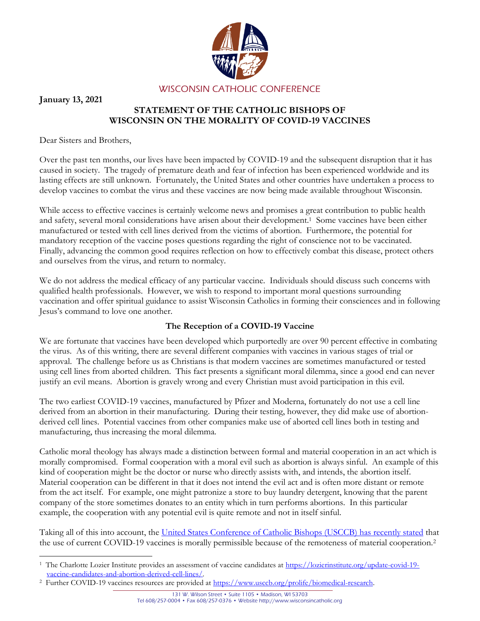

**January 13, 2021**

## **STATEMENT OF THE CATHOLIC BISHOPS OF WISCONSIN ON THE MORALITY OF COVID-19 VACCINES**

Dear Sisters and Brothers,

Over the past ten months, our lives have been impacted by COVID-19 and the subsequent disruption that it has caused in society. The tragedy of premature death and fear of infection has been experienced worldwide and its lasting effects are still unknown. Fortunately, the United States and other countries have undertaken a process to develop vaccines to combat the virus and these vaccines are now being made available throughout Wisconsin.

While access to effective vaccines is certainly welcome news and promises a great contribution to public health and safety, several moral considerations have arisen about their development. <sup>1</sup> Some vaccines have been either manufactured or tested with cell lines derived from the victims of abortion. Furthermore, the potential for mandatory reception of the vaccine poses questions regarding the right of conscience not to be vaccinated. Finally, advancing the common good requires reflection on how to effectively combat this disease, protect others and ourselves from the virus, and return to normalcy.

We do not address the medical efficacy of any particular vaccine. Individuals should discuss such concerns with qualified health professionals. However, we wish to respond to important moral questions surrounding vaccination and offer spiritual guidance to assist Wisconsin Catholics in forming their consciences and in following Jesus's command to love one another.

## **The Reception of a COVID-19 Vaccine**

We are fortunate that vaccines have been developed which purportedly are over 90 percent effective in combating the virus. As of this writing, there are several different companies with vaccines in various stages of trial or approval. The challenge before us as Christians is that modern vaccines are sometimes manufactured or tested using cell lines from aborted children. This fact presents a significant moral dilemma, since a good end can never justify an evil means. Abortion is gravely wrong and every Christian must avoid participation in this evil.

The two earliest COVID-19 vaccines, manufactured by Pfizer and Moderna, fortunately do not use a cell line derived from an abortion in their manufacturing. During their testing, however, they did make use of abortionderived cell lines. Potential vaccines from other companies make use of aborted cell lines both in testing and manufacturing, thus increasing the moral dilemma.

Catholic moral theology has always made a distinction between formal and material cooperation in an act which is morally compromised. Formal cooperation with a moral evil such as abortion is always sinful. An example of this kind of cooperation might be the doctor or nurse who directly assists with, and intends, the abortion itself. Material cooperation can be different in that it does not intend the evil act and is often more distant or remote from the act itself. For example, one might patronize a store to buy laundry detergent, knowing that the parent company of the store sometimes donates to an entity which in turn performs abortions. In this particular example, the cooperation with any potential evil is quite remote and not in itself sinful.

Taking all of this into account, the [United States Conference of Catholic Bishops \(USCCB\) has recently stated](https://www.usccb.org/moral-considerations-covid-vaccines) that the use of current COVID-19 vaccines is morally permissible because of the remoteness of material cooperation.<sup>2</sup>

 $\overline{a}$ <sup>1</sup> The Charlotte Lozier Institute provides an assessment of vaccine candidates at [https://lozierinstitute.org/update-covid-19](https://lozierinstitute.org/update-covid-19-vaccine-candidates-and-abortion-derived-cell-lines/) [vaccine-candidates-and-abortion-derived-cell-lines/.](https://lozierinstitute.org/update-covid-19-vaccine-candidates-and-abortion-derived-cell-lines/)

<sup>&</sup>lt;sup>2</sup> Further COVID-19 vaccines resources are provided at [https://www.usccb.org/prolife/biomedical-research.](https://www.usccb.org/prolife/biomedical-research)